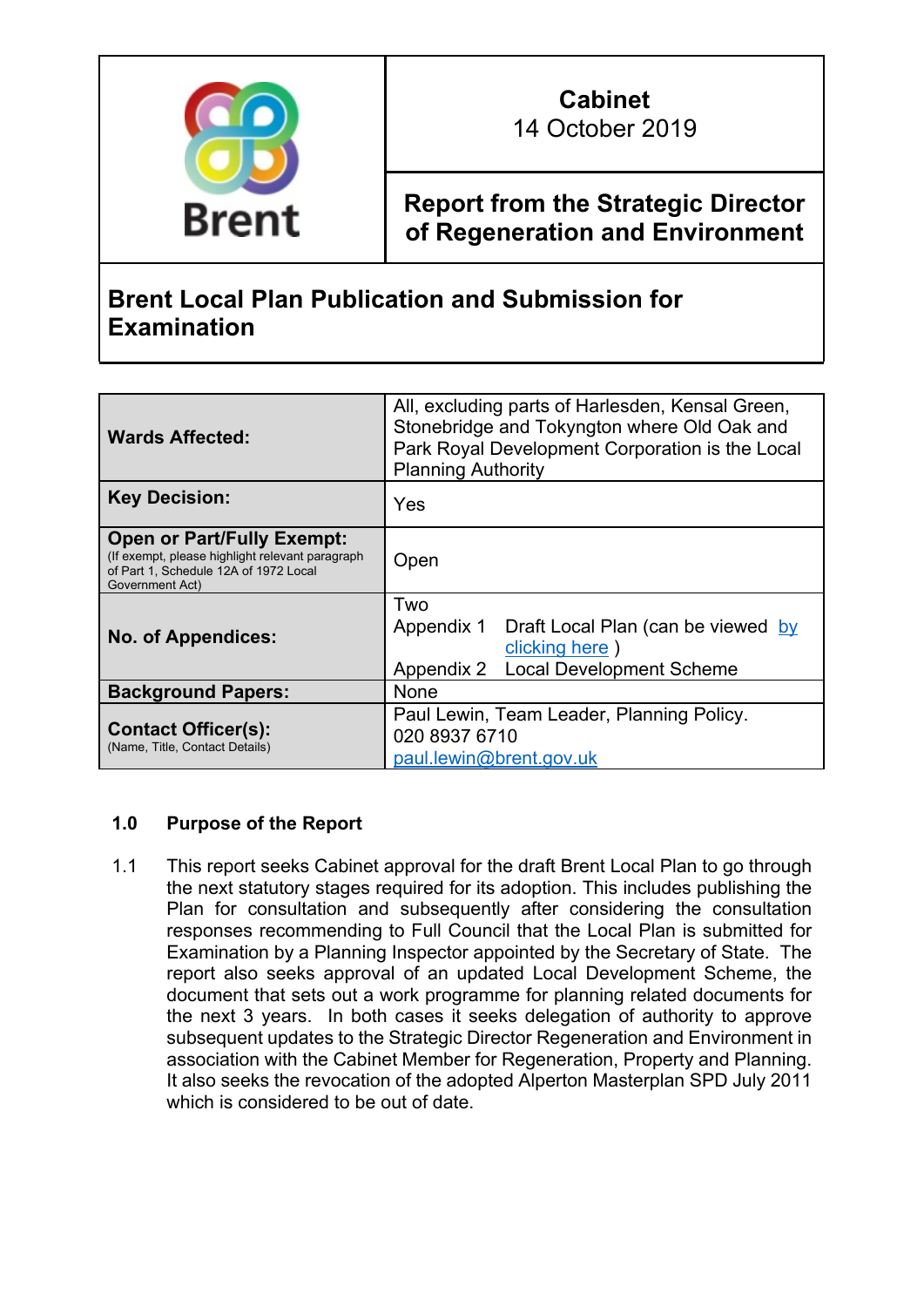

## **Cabinet** 14 October 2019

**Report from the Strategic Director of Regeneration and Environment**

# **Brent Local Plan Publication and Submission for Examination**

| <b>Wards Affected:</b>                                                                                                                           | All, excluding parts of Harlesden, Kensal Green,<br>Stonebridge and Tokyngton where Old Oak and<br>Park Royal Development Corporation is the Local<br><b>Planning Authority</b> |
|--------------------------------------------------------------------------------------------------------------------------------------------------|---------------------------------------------------------------------------------------------------------------------------------------------------------------------------------|
| <b>Key Decision:</b>                                                                                                                             | Yes                                                                                                                                                                             |
| <b>Open or Part/Fully Exempt:</b><br>(If exempt, please highlight relevant paragraph<br>of Part 1, Schedule 12A of 1972 Local<br>Government Act) | Open                                                                                                                                                                            |
| <b>No. of Appendices:</b>                                                                                                                        | Two<br>Appendix 1<br>Draft Local Plan (can be viewed by<br>clicking here)<br><b>Local Development Scheme</b><br>Appendix 2                                                      |
| <b>Background Papers:</b>                                                                                                                        | <b>None</b>                                                                                                                                                                     |
| <b>Contact Officer(s):</b><br>(Name, Title, Contact Details)                                                                                     | Paul Lewin, Team Leader, Planning Policy.<br>020 8937 6710<br>paul.lewin@brent.gov.uk                                                                                           |

### **1.0 Purpose of the Report**

1.1 This report seeks Cabinet approval for the draft Brent Local Plan to go through the next statutory stages required for its adoption. This includes publishing the Plan for consultation and subsequently after considering the consultation responses recommending to Full Council that the Local Plan is submitted for Examination by a Planning Inspector appointed by the Secretary of State. The report also seeks approval of an updated Local Development Scheme, the document that sets out a work programme for planning related documents for the next 3 years. In both cases it seeks delegation of authority to approve subsequent updates to the Strategic Director Regeneration and Environment in association with the Cabinet Member for Regeneration, Property and Planning. It also seeks the revocation of the adopted Alperton Masterplan SPD July 2011 which is considered to be out of date.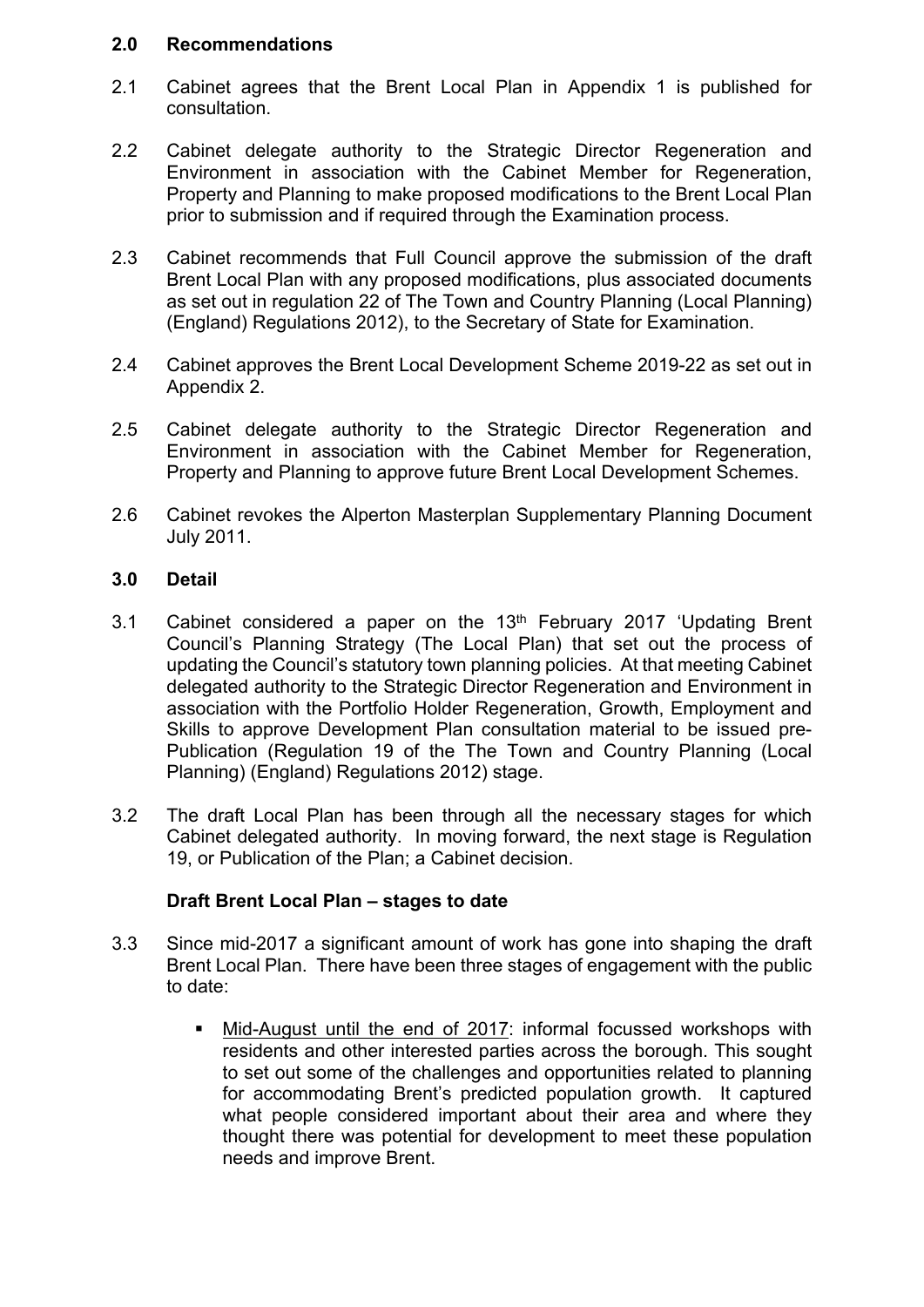#### **2.0 Recommendations**

- 2.1 Cabinet agrees that the Brent Local Plan in Appendix 1 is published for consultation.
- 2.2 Cabinet delegate authority to the Strategic Director Regeneration and Environment in association with the Cabinet Member for Regeneration, Property and Planning to make proposed modifications to the Brent Local Plan prior to submission and if required through the Examination process.
- 2.3 Cabinet recommends that Full Council approve the submission of the draft Brent Local Plan with any proposed modifications, plus associated documents as set out in regulation 22 of The Town and Country Planning (Local Planning) (England) Regulations 2012), to the Secretary of State for Examination.
- 2.4 Cabinet approves the Brent Local Development Scheme 2019-22 as set out in Appendix 2.
- 2.5 Cabinet delegate authority to the Strategic Director Regeneration and Environment in association with the Cabinet Member for Regeneration, Property and Planning to approve future Brent Local Development Schemes.
- 2.6 Cabinet revokes the Alperton Masterplan Supplementary Planning Document July 2011.

#### **3.0 Detail**

- 3.1 Cabinet considered a paper on the  $13<sup>th</sup>$  February 2017 'Updating Brent Council's Planning Strategy (The Local Plan) that set out the process of updating the Council's statutory town planning policies. At that meeting Cabinet delegated authority to the Strategic Director Regeneration and Environment in association with the Portfolio Holder Regeneration, Growth, Employment and Skills to approve Development Plan consultation material to be issued pre-Publication (Regulation 19 of the The Town and Country Planning (Local Planning) (England) Regulations 2012) stage.
- 3.2 The draft Local Plan has been through all the necessary stages for which Cabinet delegated authority. In moving forward, the next stage is Regulation 19, or Publication of the Plan; a Cabinet decision.

#### **Draft Brent Local Plan – stages to date**

- 3.3 Since mid-2017 a significant amount of work has gone into shaping the draft Brent Local Plan. There have been three stages of engagement with the public to date:
	- Mid-August until the end of 2017: informal focussed workshops with residents and other interested parties across the borough. This sought to set out some of the challenges and opportunities related to planning for accommodating Brent's predicted population growth. It captured what people considered important about their area and where they thought there was potential for development to meet these population needs and improve Brent.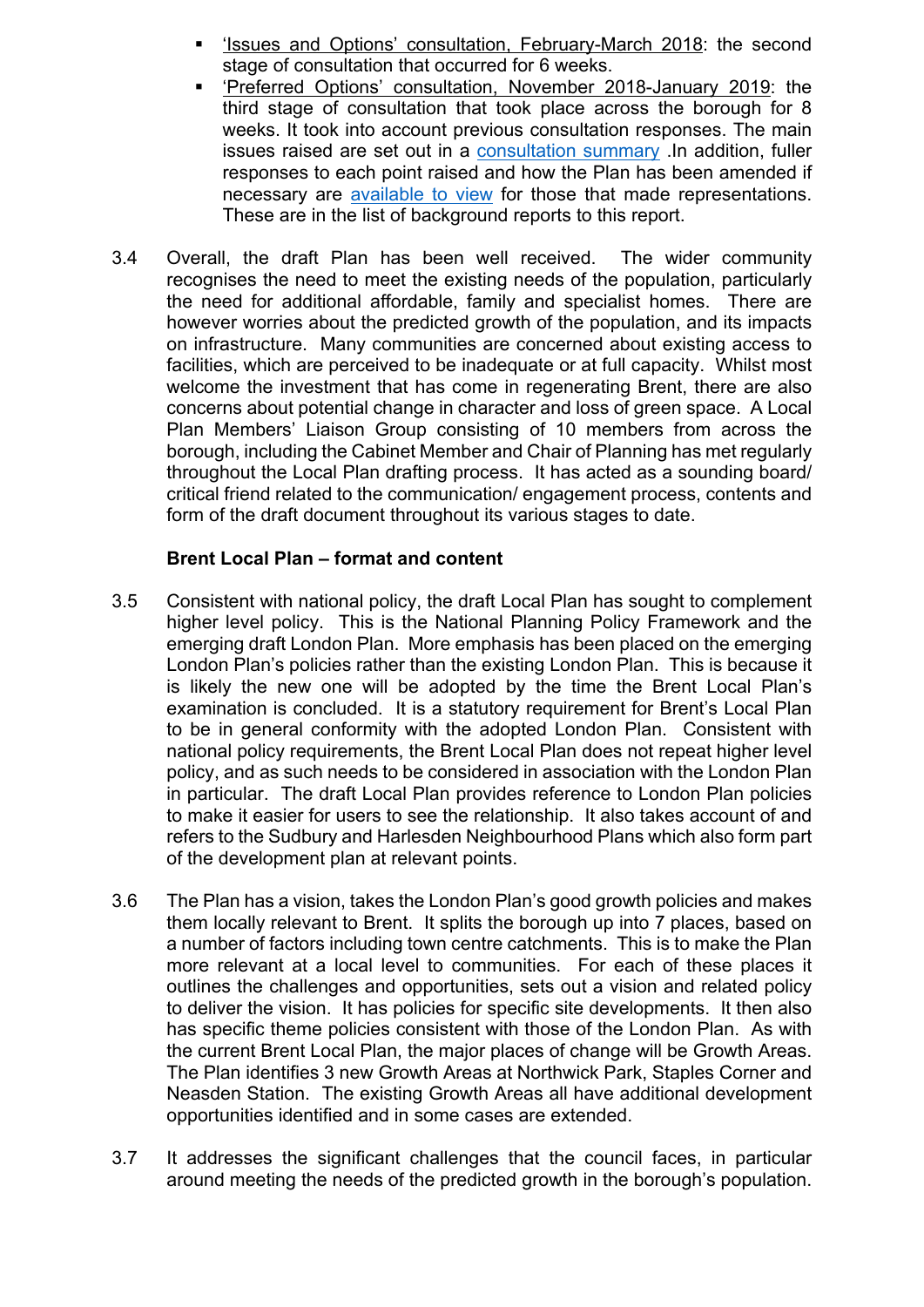- 'Issues and Options' consultation, February-March 2018: the second stage of consultation that occurred for 6 weeks.
- 'Preferred Options' consultation, November 2018-January 2019: the third stage of consultation that took place across the borough for 8 weeks. It took into account previous consultation responses. The main issues raised are set out in a [consultation](https://www.brent.gov.uk/media/16414476/preferred-options-consultation-statement-oct-2019.pdf) summary .In addition, fuller responses to each point raised and how the Plan has been amended if necessary are [available](tps://www.brent.gov.uk/media/16414309/all-comments-summary-v3.pdf) to view for those that made representations. These are in the list of background reports to this report.
- 3.4 Overall, the draft Plan has been well received. The wider community recognises the need to meet the existing needs of the population, particularly the need for additional affordable, family and specialist homes. There are however worries about the predicted growth of the population, and its impacts on infrastructure. Many communities are concerned about existing access to facilities, which are perceived to be inadequate or at full capacity. Whilst most welcome the investment that has come in regenerating Brent, there are also concerns about potential change in character and loss of green space. A Local Plan Members' Liaison Group consisting of 10 members from across the borough, including the Cabinet Member and Chair of Planning has met regularly throughout the Local Plan drafting process. It has acted as a sounding board/ critical friend related to the communication/ engagement process, contents and form of the draft document throughout its various stages to date.

#### **Brent Local Plan – format and content**

- 3.5 Consistent with national policy, the draft Local Plan has sought to complement higher level policy. This is the National Planning Policy Framework and the emerging draft London Plan. More emphasis has been placed on the emerging London Plan's policies rather than the existing London Plan. This is because it is likely the new one will be adopted by the time the Brent Local Plan's examination is concluded. It is a statutory requirement for Brent's Local Plan to be in general conformity with the adopted London Plan. Consistent with national policy requirements, the Brent Local Plan does not repeat higher level policy, and as such needs to be considered in association with the London Plan in particular. The draft Local Plan provides reference to London Plan policies to make it easier for users to see the relationship. It also takes account of and refers to the Sudbury and Harlesden Neighbourhood Plans which also form part of the development plan at relevant points.
- 3.6 The Plan has a vision, takes the London Plan's good growth policies and makes them locally relevant to Brent. It splits the borough up into 7 places, based on a number of factors including town centre catchments. This is to make the Plan more relevant at a local level to communities. For each of these places it outlines the challenges and opportunities, sets out a vision and related policy to deliver the vision. It has policies for specific site developments. It then also has specific theme policies consistent with those of the London Plan. As with the current Brent Local Plan, the major places of change will be Growth Areas. The Plan identifies 3 new Growth Areas at Northwick Park, Staples Corner and Neasden Station. The existing Growth Areas all have additional development opportunities identified and in some cases are extended.
- 3.7 It addresses the significant challenges that the council faces, in particular around meeting the needs of the predicted growth in the borough's population.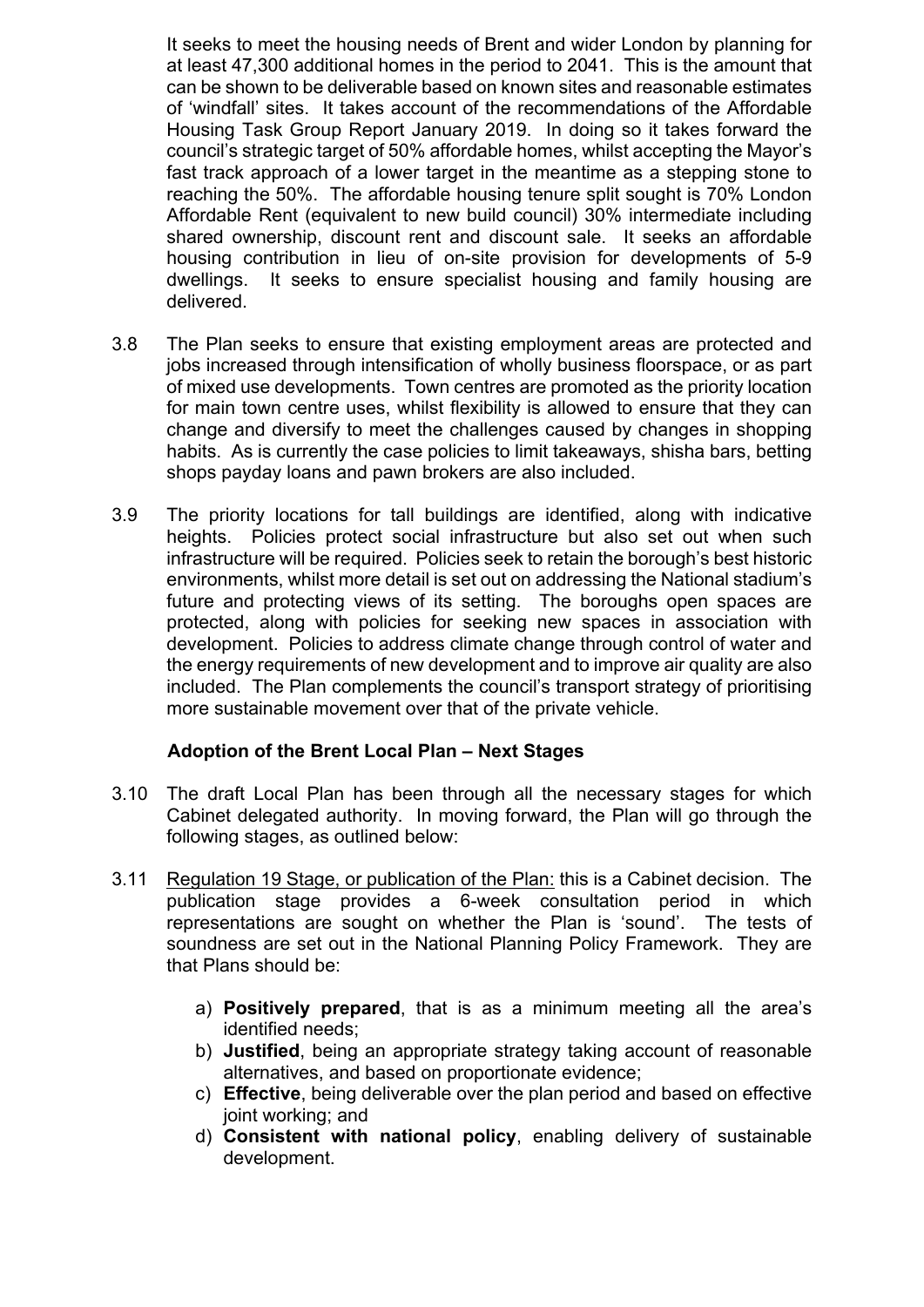It seeks to meet the housing needs of Brent and wider London by planning for at least 47,300 additional homes in the period to 2041. This is the amount that can be shown to be deliverable based on known sites and reasonable estimates of 'windfall' sites. It takes account of the recommendations of the Affordable Housing Task Group Report January 2019. In doing so it takes forward the council's strategic target of 50% affordable homes, whilst accepting the Mayor's fast track approach of a lower target in the meantime as a stepping stone to reaching the 50%. The affordable housing tenure split sought is 70% London Affordable Rent (equivalent to new build council) 30% intermediate including shared ownership, discount rent and discount sale. It seeks an affordable housing contribution in lieu of on-site provision for developments of 5-9 dwellings. It seeks to ensure specialist housing and family housing are delivered.

- 3.8 The Plan seeks to ensure that existing employment areas are protected and jobs increased through intensification of wholly business floorspace, or as part of mixed use developments. Town centres are promoted as the priority location for main town centre uses, whilst flexibility is allowed to ensure that they can change and diversify to meet the challenges caused by changes in shopping habits. As is currently the case policies to limit takeaways, shisha bars, betting shops payday loans and pawn brokers are also included.
- 3.9 The priority locations for tall buildings are identified, along with indicative heights. Policies protect social infrastructure but also set out when such infrastructure will be required. Policies seek to retain the borough's best historic environments, whilst more detail is set out on addressing the National stadium's future and protecting views of its setting. The boroughs open spaces are protected, along with policies for seeking new spaces in association with development. Policies to address climate change through control of water and the energy requirements of new development and to improve air quality are also included. The Plan complements the council's transport strategy of prioritising more sustainable movement over that of the private vehicle.

#### **Adoption of the Brent Local Plan – Next Stages**

- 3.10 The draft Local Plan has been through all the necessary stages for which Cabinet delegated authority. In moving forward, the Plan will go through the following stages, as outlined below:
- 3.11 Regulation 19 Stage, or publication of the Plan: this is a Cabinet decision. The publication stage provides a 6-week consultation period in which representations are sought on whether the Plan is 'sound'. The tests of soundness are set out in the National Planning Policy Framework. They are that Plans should be:
	- a) **Positively prepared**, that is as a minimum meeting all the area's identified needs;
	- b) **Justified**, being an appropriate strategy taking account of reasonable alternatives, and based on proportionate evidence;
	- c) **Effective**, being deliverable over the plan period and based on effective joint working; and
	- d) **Consistent with national policy**, enabling delivery of sustainable development.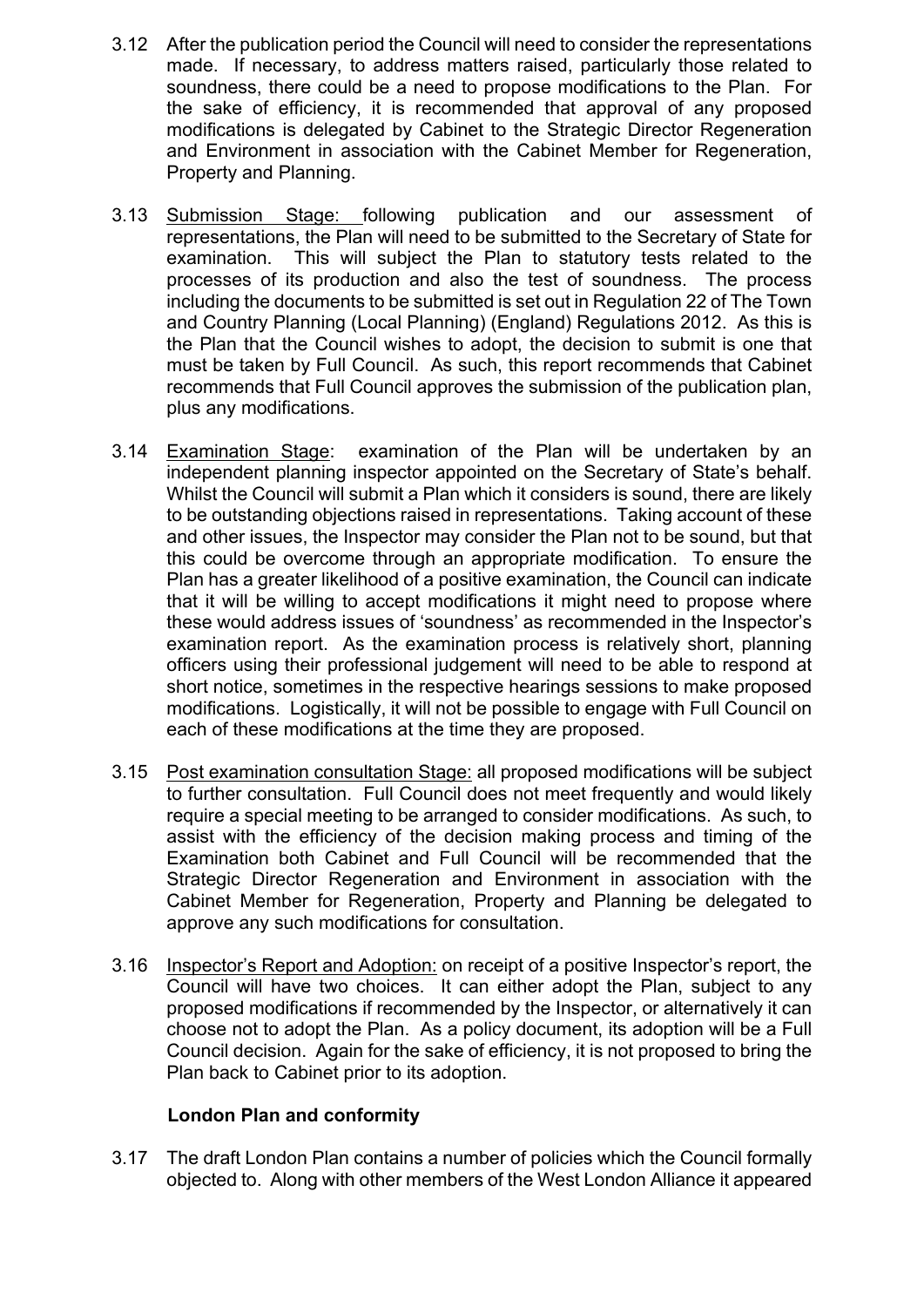- 3.12 After the publication period the Council will need to consider the representations made. If necessary, to address matters raised, particularly those related to soundness, there could be a need to propose modifications to the Plan. For the sake of efficiency, it is recommended that approval of any proposed modifications is delegated by Cabinet to the Strategic Director Regeneration and Environment in association with the Cabinet Member for Regeneration, Property and Planning.
- 3.13 Submission Stage: following publication and our assessment of representations, the Plan will need to be submitted to the Secretary of State for examination. This will subject the Plan to statutory tests related to the processes of its production and also the test of soundness. The process including the documents to be submitted is set out in Regulation 22 of The Town and Country Planning (Local Planning) (England) Regulations 2012. As this is the Plan that the Council wishes to adopt, the decision to submit is one that must be taken by Full Council. As such, this report recommends that Cabinet recommends that Full Council approves the submission of the publication plan, plus any modifications.
- 3.14 Examination Stage: examination of the Plan will be undertaken by an independent planning inspector appointed on the Secretary of State's behalf. Whilst the Council will submit a Plan which it considers is sound, there are likely to be outstanding objections raised in representations. Taking account of these and other issues, the Inspector may consider the Plan not to be sound, but that this could be overcome through an appropriate modification. To ensure the Plan has a greater likelihood of a positive examination, the Council can indicate that it will be willing to accept modifications it might need to propose where these would address issues of 'soundness' as recommended in the Inspector's examination report. As the examination process is relatively short, planning officers using their professional judgement will need to be able to respond at short notice, sometimes in the respective hearings sessions to make proposed modifications. Logistically, it will not be possible to engage with Full Council on each of these modifications at the time they are proposed.
- 3.15 Post examination consultation Stage: all proposed modifications will be subject to further consultation. Full Council does not meet frequently and would likely require a special meeting to be arranged to consider modifications. As such, to assist with the efficiency of the decision making process and timing of the Examination both Cabinet and Full Council will be recommended that the Strategic Director Regeneration and Environment in association with the Cabinet Member for Regeneration, Property and Planning be delegated to approve any such modifications for consultation.
- 3.16 Inspector's Report and Adoption: on receipt of a positive Inspector's report, the Council will have two choices. It can either adopt the Plan, subject to any proposed modifications if recommended by the Inspector, or alternatively it can choose not to adopt the Plan. As a policy document, its adoption will be a Full Council decision. Again for the sake of efficiency, it is not proposed to bring the Plan back to Cabinet prior to its adoption.

#### **London Plan and conformity**

3.17 The draft London Plan contains a number of policies which the Council formally objected to. Along with other members of the West London Alliance it appeared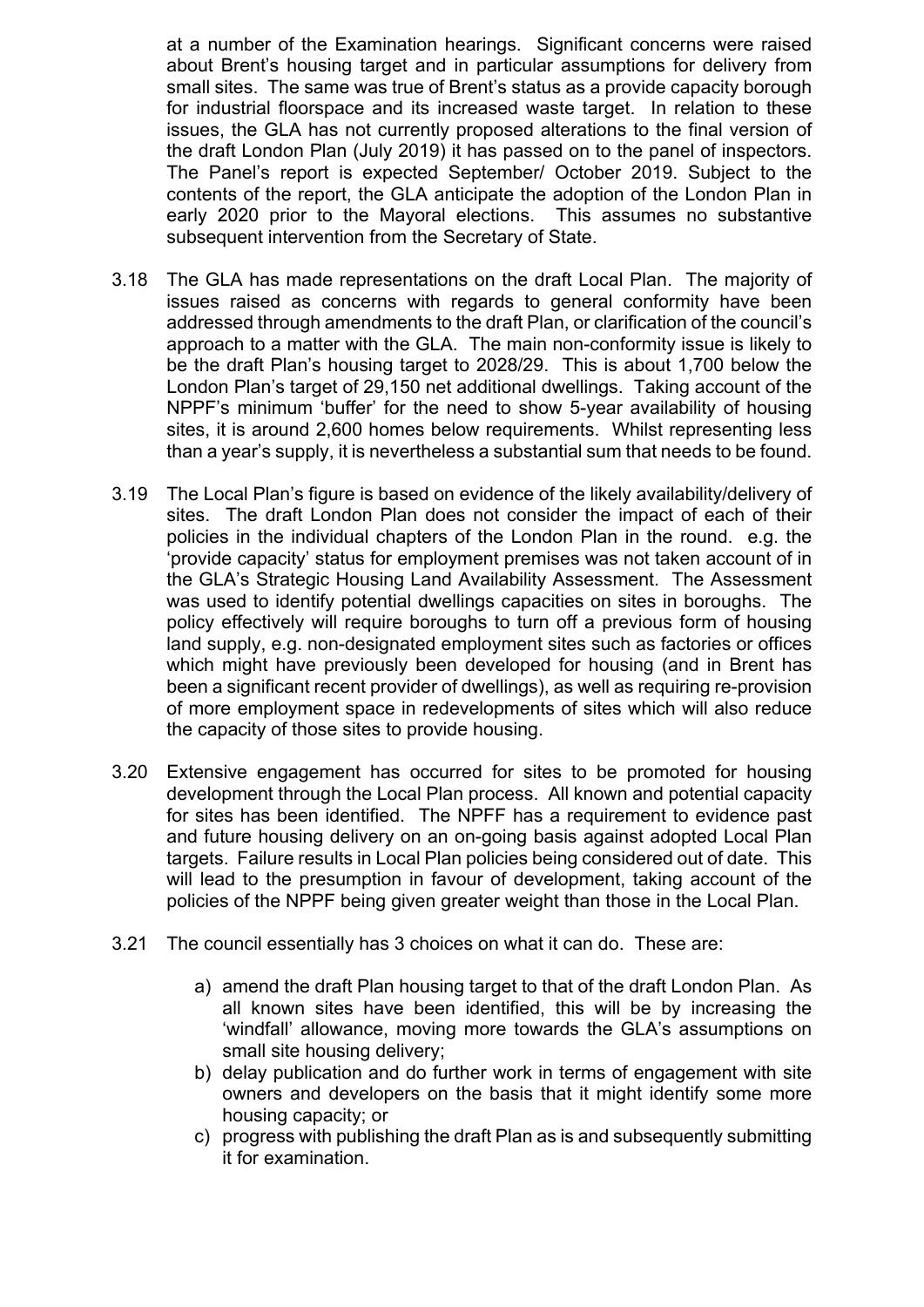at a number of the Examination hearings. Significant concerns were raised about Brent's housing target and in particular assumptions for delivery from small sites. The same was true of Brent's status as a provide capacity borough for industrial floorspace and its increased waste target. In relation to these issues, the GLA has not currently proposed alterations to the final version of the draft London Plan (July 2019) it has passed on to the panel of inspectors. The Panel's report is expected September/ October 2019. Subject to the contents of the report, the GLA anticipate the adoption of the London Plan in early 2020 prior to the Mayoral elections. This assumes no substantive subsequent intervention from the Secretary of State.

- 3.18 The GLA has made representations on the draft Local Plan. The majority of issues raised as concerns with regards to general conformity have been addressed through amendments to the draft Plan, or clarification of the council's approach to a matter with the GLA. The main non-conformity issue is likely to be the draft Plan's housing target to 2028/29. This is about 1,700 below the London Plan's target of 29,150 net additional dwellings. Taking account of the NPPF's minimum 'buffer' for the need to show 5-year availability of housing sites, it is around 2,600 homes below requirements. Whilst representing less than a year's supply, it is nevertheless a substantial sum that needs to be found.
- 3.19 The Local Plan's figure is based on evidence of the likely availability/delivery of sites. The draft London Plan does not consider the impact of each of their policies in the individual chapters of the London Plan in the round. e.g. the 'provide capacity' status for employment premises was not taken account of in the GLA's Strategic Housing Land Availability Assessment. The Assessment was used to identify potential dwellings capacities on sites in boroughs. The policy effectively will require boroughs to turn off a previous form of housing land supply, e.g. non-designated employment sites such as factories or offices which might have previously been developed for housing (and in Brent has been a significant recent provider of dwellings), as well as requiring re-provision of more employment space in redevelopments of sites which will also reduce the capacity of those sites to provide housing.
- 3.20 Extensive engagement has occurred for sites to be promoted for housing development through the Local Plan process. All known and potential capacity for sites has been identified. The NPFF has a requirement to evidence past and future housing delivery on an on-going basis against adopted Local Plan targets. Failure results in Local Plan policies being considered out of date. This will lead to the presumption in favour of development, taking account of the policies of the NPPF being given greater weight than those in the Local Plan.
- 3.21 The council essentially has 3 choices on what it can do. These are:
	- a) amend the draft Plan housing target to that of the draft London Plan. As all known sites have been identified, this will be by increasing the 'windfall' allowance, moving more towards the GLA's assumptions on small site housing delivery;
	- b) delay publication and do further work in terms of engagement with site owners and developers on the basis that it might identify some more housing capacity; or
	- c) progress with publishing the draft Plan as is and subsequently submitting it for examination.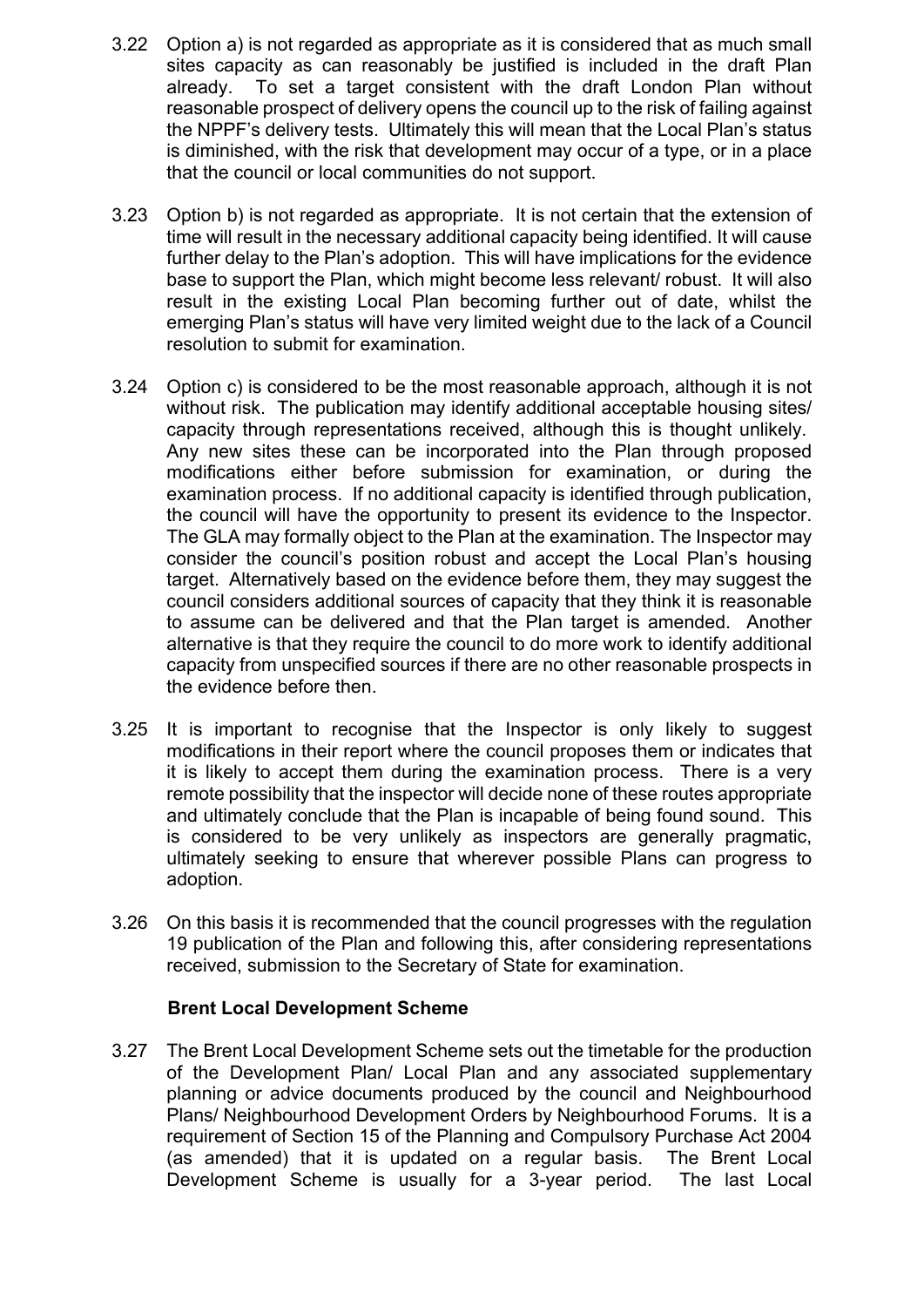- 3.22 Option a) is not regarded as appropriate as it is considered that as much small sites capacity as can reasonably be justified is included in the draft Plan already. To set a target consistent with the draft London Plan without reasonable prospect of delivery opens the council up to the risk of failing against the NPPF's delivery tests. Ultimately this will mean that the Local Plan's status is diminished, with the risk that development may occur of a type, or in a place that the council or local communities do not support.
- 3.23 Option b) is not regarded as appropriate. It is not certain that the extension of time will result in the necessary additional capacity being identified. It will cause further delay to the Plan's adoption. This will have implications for the evidence base to support the Plan, which might become less relevant/ robust. It will also result in the existing Local Plan becoming further out of date, whilst the emerging Plan's status will have very limited weight due to the lack of a Council resolution to submit for examination.
- 3.24 Option c) is considered to be the most reasonable approach, although it is not without risk. The publication may identify additional acceptable housing sites/ capacity through representations received, although this is thought unlikely. Any new sites these can be incorporated into the Plan through proposed modifications either before submission for examination, or during the examination process. If no additional capacity is identified through publication, the council will have the opportunity to present its evidence to the Inspector. The GLA may formally object to the Plan at the examination. The Inspector may consider the council's position robust and accept the Local Plan's housing target. Alternatively based on the evidence before them, they may suggest the council considers additional sources of capacity that they think it is reasonable to assume can be delivered and that the Plan target is amended. Another alternative is that they require the council to do more work to identify additional capacity from unspecified sources if there are no other reasonable prospects in the evidence before then.
- 3.25 It is important to recognise that the Inspector is only likely to suggest modifications in their report where the council proposes them or indicates that it is likely to accept them during the examination process. There is a very remote possibility that the inspector will decide none of these routes appropriate and ultimately conclude that the Plan is incapable of being found sound. This is considered to be very unlikely as inspectors are generally pragmatic, ultimately seeking to ensure that wherever possible Plans can progress to adoption.
- 3.26 On this basis it is recommended that the council progresses with the regulation 19 publication of the Plan and following this, after considering representations received, submission to the Secretary of State for examination.

#### **Brent Local Development Scheme**

3.27 The Brent Local Development Scheme sets out the timetable for the production of the Development Plan/ Local Plan and any associated supplementary planning or advice documents produced by the council and Neighbourhood Plans/ Neighbourhood Development Orders by Neighbourhood Forums. It is a requirement of Section 15 of the Planning and Compulsory Purchase Act 2004 (as amended) that it is updated on a regular basis. The Brent Local Development Scheme is usually for a 3-year period. The last Local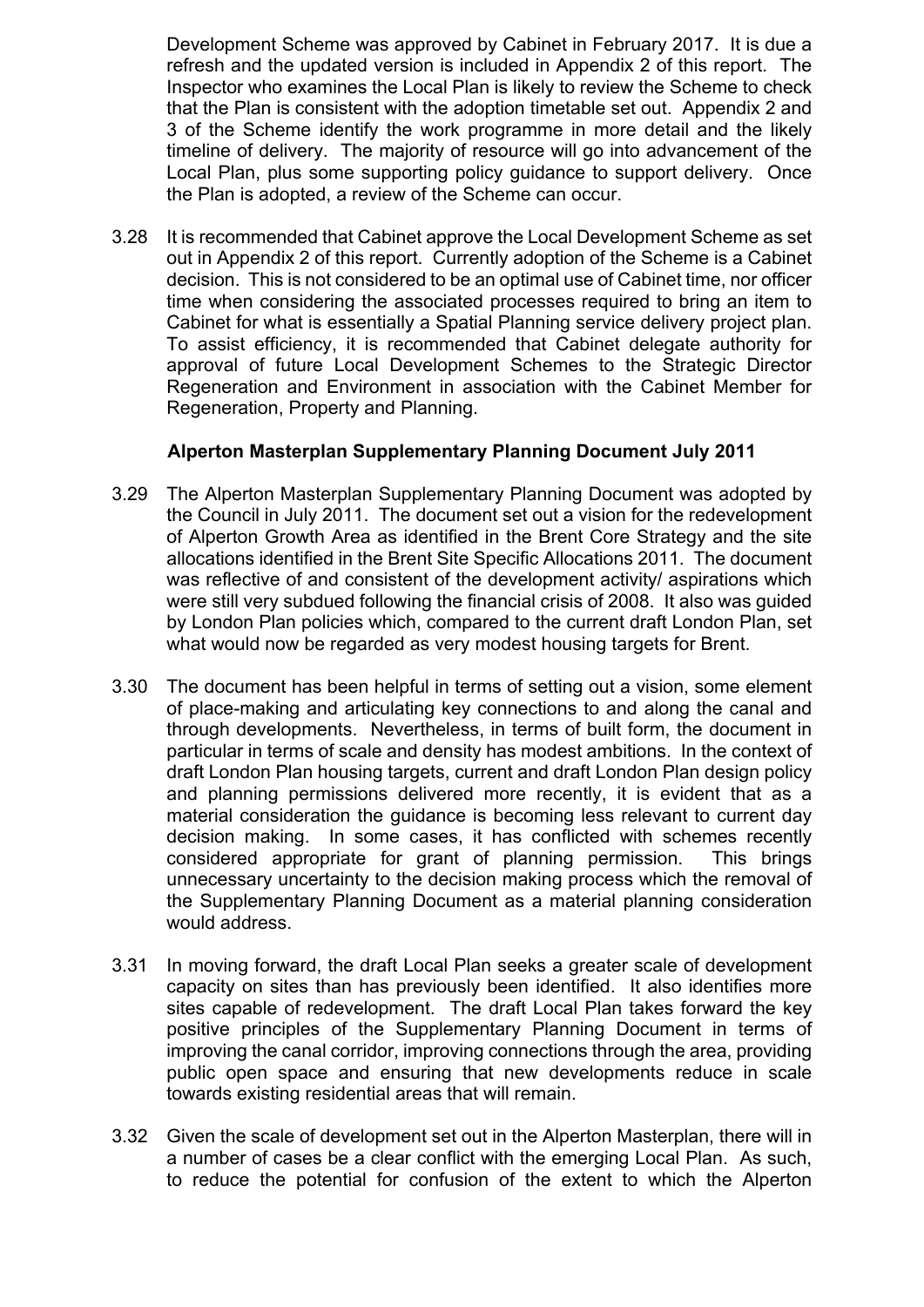Development Scheme was approved by Cabinet in February 2017. It is due a refresh and the updated version is included in Appendix 2 of this report. The Inspector who examines the Local Plan is likely to review the Scheme to check that the Plan is consistent with the adoption timetable set out. Appendix 2 and 3 of the Scheme identify the work programme in more detail and the likely timeline of delivery. The majority of resource will go into advancement of the Local Plan, plus some supporting policy guidance to support delivery. Once the Plan is adopted, a review of the Scheme can occur.

3.28 It is recommended that Cabinet approve the Local Development Scheme as set out in Appendix 2 of this report. Currently adoption of the Scheme is a Cabinet decision. This is not considered to be an optimal use of Cabinet time, nor officer time when considering the associated processes required to bring an item to Cabinet for what is essentially a Spatial Planning service delivery project plan. To assist efficiency, it is recommended that Cabinet delegate authority for approval of future Local Development Schemes to the Strategic Director Regeneration and Environment in association with the Cabinet Member for Regeneration, Property and Planning.

#### **Alperton Masterplan Supplementary Planning Document July 2011**

- 3.29 The Alperton Masterplan Supplementary Planning Document was adopted by the Council in July 2011. The document set out a vision for the redevelopment of Alperton Growth Area as identified in the Brent Core Strategy and the site allocations identified in the Brent Site Specific Allocations 2011. The document was reflective of and consistent of the development activity/ aspirations which were still very subdued following the financial crisis of 2008. It also was guided by London Plan policies which, compared to the current draft London Plan, set what would now be regarded as very modest housing targets for Brent.
- 3.30 The document has been helpful in terms of setting out a vision, some element of place-making and articulating key connections to and along the canal and through developments. Nevertheless, in terms of built form, the document in particular in terms of scale and density has modest ambitions. In the context of draft London Plan housing targets, current and draft London Plan design policy and planning permissions delivered more recently, it is evident that as a material consideration the guidance is becoming less relevant to current day decision making. In some cases, it has conflicted with schemes recently considered appropriate for grant of planning permission. This brings unnecessary uncertainty to the decision making process which the removal of the Supplementary Planning Document as a material planning consideration would address.
- 3.31 In moving forward, the draft Local Plan seeks a greater scale of development capacity on sites than has previously been identified. It also identifies more sites capable of redevelopment. The draft Local Plan takes forward the key positive principles of the Supplementary Planning Document in terms of improving the canal corridor, improving connections through the area, providing public open space and ensuring that new developments reduce in scale towards existing residential areas that will remain.
- 3.32 Given the scale of development set out in the Alperton Masterplan, there will in a number of cases be a clear conflict with the emerging Local Plan. As such, to reduce the potential for confusion of the extent to which the Alperton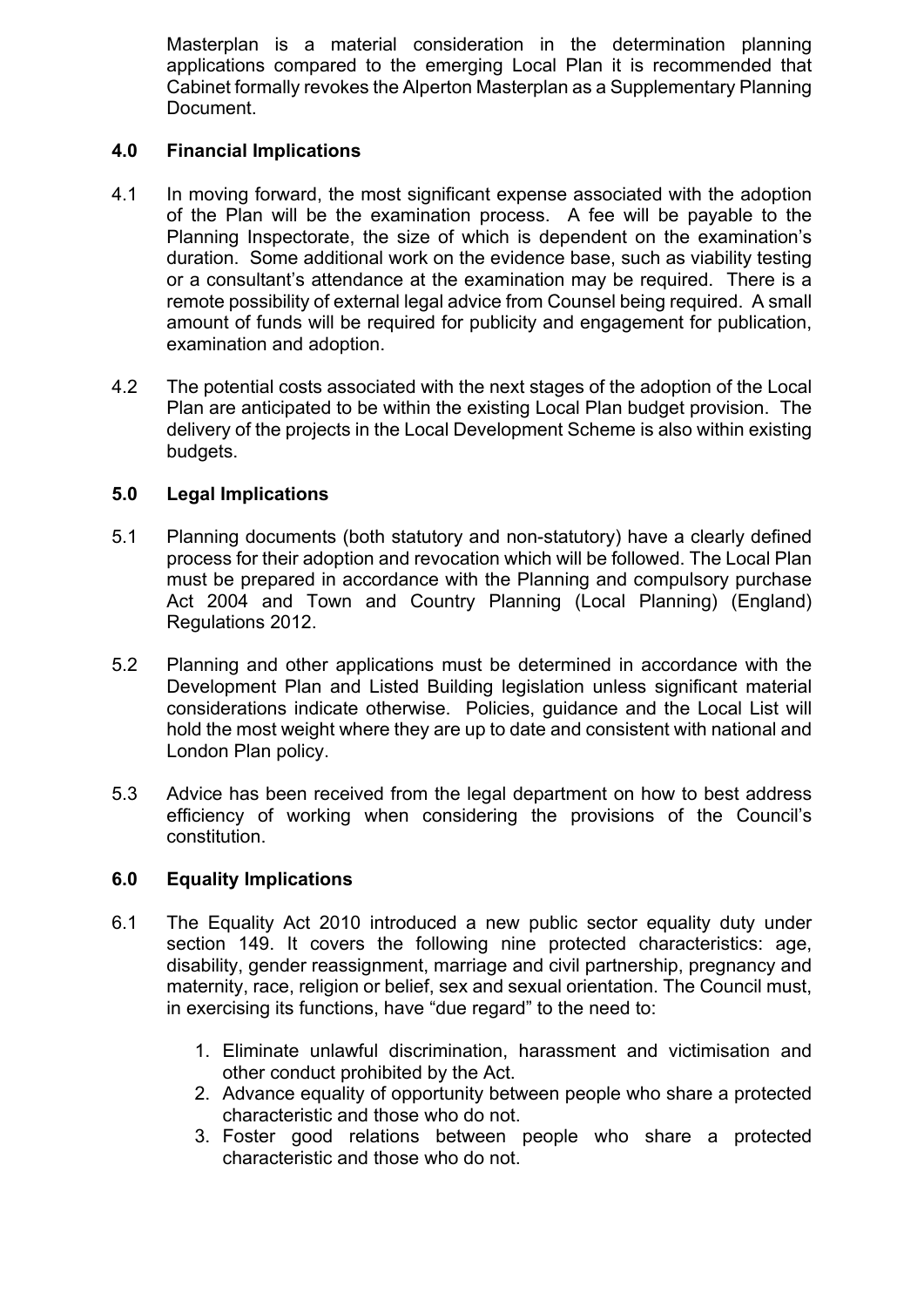Masterplan is a material consideration in the determination planning applications compared to the emerging Local Plan it is recommended that Cabinet formally revokes the Alperton Masterplan as a Supplementary Planning Document.

#### **4.0 Financial Implications**

- 4.1 In moving forward, the most significant expense associated with the adoption of the Plan will be the examination process. A fee will be payable to the Planning Inspectorate, the size of which is dependent on the examination's duration. Some additional work on the evidence base, such as viability testing or a consultant's attendance at the examination may be required. There is a remote possibility of external legal advice from Counsel being required. A small amount of funds will be required for publicity and engagement for publication, examination and adoption.
- 4.2 The potential costs associated with the next stages of the adoption of the Local Plan are anticipated to be within the existing Local Plan budget provision. The delivery of the projects in the Local Development Scheme is also within existing budgets.

#### **5.0 Legal Implications**

- 5.1 Planning documents (both statutory and non-statutory) have a clearly defined process for their adoption and revocation which will be followed. The Local Plan must be prepared in accordance with the Planning and compulsory purchase Act 2004 and Town and Country Planning (Local Planning) (England) Regulations 2012.
- 5.2 Planning and other applications must be determined in accordance with the Development Plan and Listed Building legislation unless significant material considerations indicate otherwise. Policies, guidance and the Local List will hold the most weight where they are up to date and consistent with national and London Plan policy.
- 5.3 Advice has been received from the legal department on how to best address efficiency of working when considering the provisions of the Council's constitution.

#### **6.0 Equality Implications**

- 6.1 The Equality Act 2010 introduced a new public sector equality duty under section 149. It covers the following nine protected characteristics: age, disability, gender reassignment, marriage and civil partnership, pregnancy and maternity, race, religion or belief, sex and sexual orientation. The Council must, in exercising its functions, have "due regard" to the need to:
	- 1. Eliminate unlawful discrimination, harassment and victimisation and other conduct prohibited by the Act.
	- 2. Advance equality of opportunity between people who share a protected characteristic and those who do not.
	- 3. Foster good relations between people who share a protected characteristic and those who do not.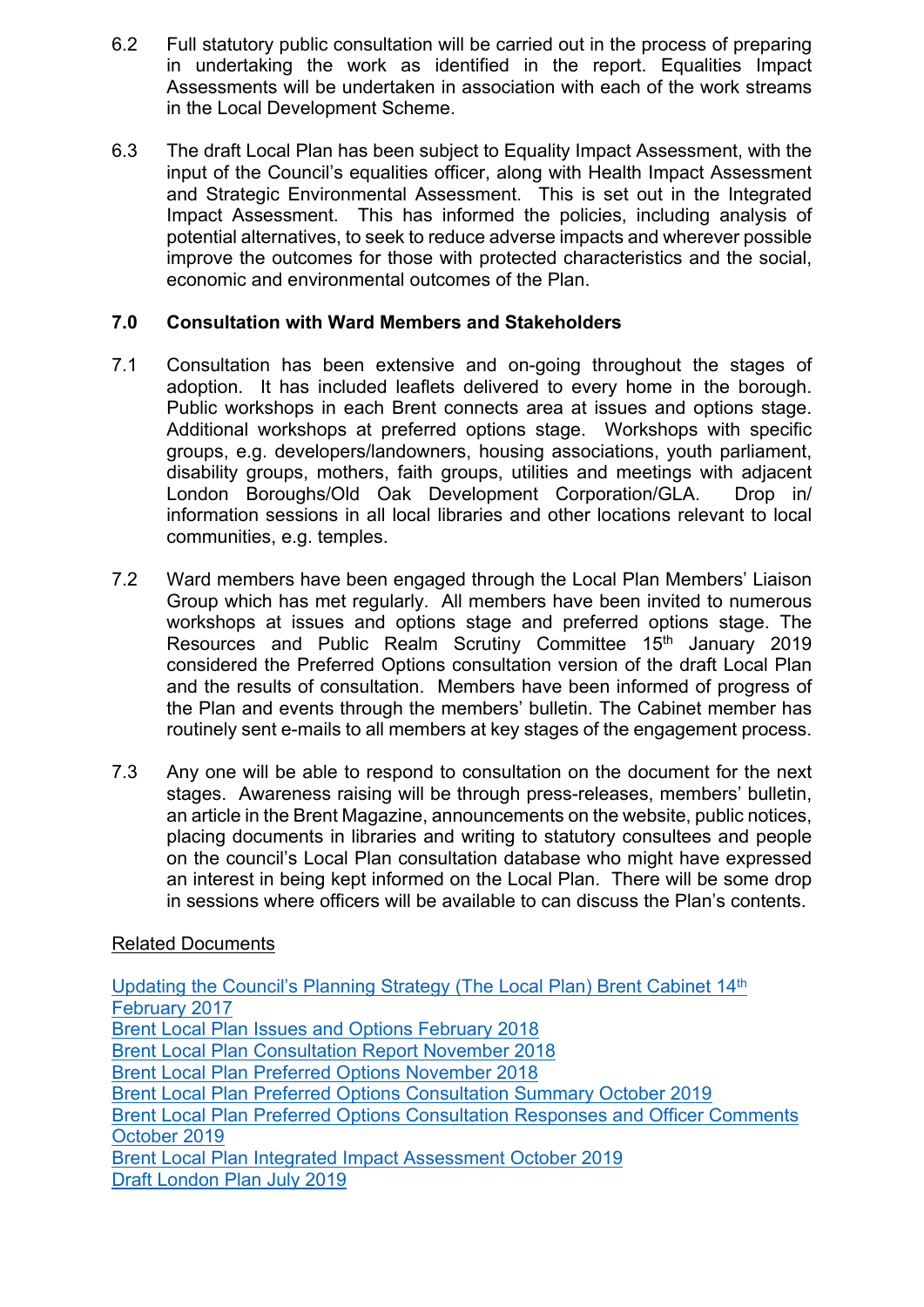- 6.2 Full statutory public consultation will be carried out in the process of preparing in undertaking the work as identified in the report. Equalities Impact Assessments will be undertaken in association with each of the work streams in the Local Development Scheme.
- 6.3 The draft Local Plan has been subject to Equality Impact Assessment, with the input of the Council's equalities officer, along with Health Impact Assessment and Strategic Environmental Assessment. This is set out in the Integrated Impact Assessment. This has informed the policies, including analysis of potential alternatives, to seek to reduce adverse impacts and wherever possible improve the outcomes for those with protected characteristics and the social, economic and environmental outcomes of the Plan.

#### **7.0 Consultation with Ward Members and Stakeholders**

- 7.1 Consultation has been extensive and on-going throughout the stages of adoption. It has included leaflets delivered to every home in the borough. Public workshops in each Brent connects area at issues and options stage. Additional workshops at preferred options stage. Workshops with specific groups, e.g. developers/landowners, housing associations, youth parliament, disability groups, mothers, faith groups, utilities and meetings with adjacent London Boroughs/Old Oak Development Corporation/GLA. Drop in/ information sessions in all local libraries and other locations relevant to local communities, e.g. temples.
- 7.2 Ward members have been engaged through the Local Plan Members' Liaison Group which has met regularly. All members have been invited to numerous workshops at issues and options stage and preferred options stage. The Resources and Public Realm Scrutiny Committee 15<sup>th</sup> January 2019 considered the Preferred Options consultation version of the draft Local Plan and the results of consultation. Members have been informed of progress of the Plan and events through the members' bulletin. The Cabinet member has routinely sent e-mails to all members at key stages of the engagement process.
- 7.3 Any one will be able to respond to consultation on the document for the next stages. Awareness raising will be through press-releases, members' bulletin, an article in the Brent Magazine, announcements on the website, public notices, placing documents in libraries and writing to statutory consultees and people on the council's Local Plan consultation database who might have expressed an interest in being kept informed on the Local Plan. There will be some drop in sessions where officers will be available to can discuss the Plan's contents.

#### Related Documents

Updating the [Council's](http://democracy.brent.gov.uk/ieDecisionDetails.aspx?AIId=23813) Planning Strategy (The Local Plan) Brent Cabinet 14th [February](http://democracy.brent.gov.uk/ieDecisionDetails.aspx?AIId=23813) 2017 Brent Local Plan Issues and Options [February](http://www.brent.gov.uk/media/16409901/brent-issues-_-options.pdf) 2018 Brent Local Plan [Consultation](https://www.brent.gov.uk/media/16411770/consultation-report-final-november-2018.pdf) Report November 2018 Brent Local Plan Preferred Options [November](https://www.brent.gov.uk/media/16411928/brent-preferred-options-local-plan-nov-2018.pdf) 2018 Brent Local Plan Preferred Options [Consultation](https://www.brent.gov.uk/media/16414476/preferred-options-consultation-statement-oct-2019.pdf) Summary October 2019 Brent Local Plan Preferred Options [Consultation](tps://www.brent.gov.uk/media/16414309/all-comments-summary-v3.pdf) Responses and Officer Comments [October](tps://www.brent.gov.uk/media/16414309/all-comments-summary-v3.pdf) 2019 Brent Local Plan Integrated Impact [Assessment](https://www.brent.gov.uk/shapebrent) October 2019 Draft [London](https://www.london.gov.uk/sites/default/files/draft_london_plan_-_consolidated_changes_version_july_2019.pdf) Plan July 2019